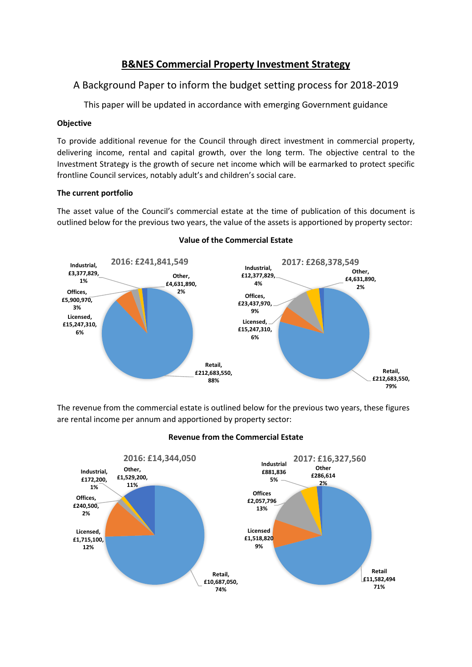# **B&NES Commercial Property Investment Strategy**

# A Background Paper to inform the budget setting process for 2018-2019

This paper will be updated in accordance with emerging Government guidance

# **Objective**

To provide additional revenue for the Council through direct investment in commercial property, delivering income, rental and capital growth, over the long term. The objective central to the Investment Strategy is the growth of secure net income which will be earmarked to protect specific frontline Council services, notably adult's and children's social care.

# **The current portfolio**

The asset value of the Council's commercial estate at the time of publication of this document is outlined below for the previous two years, the value of the assets is apportioned by property sector:



# **Value of the Commercial Estate**

The revenue from the commercial estate is outlined below for the previous two years, these figures are rental income per annum and apportioned by property sector:



# **Revenue from the Commercial Estate**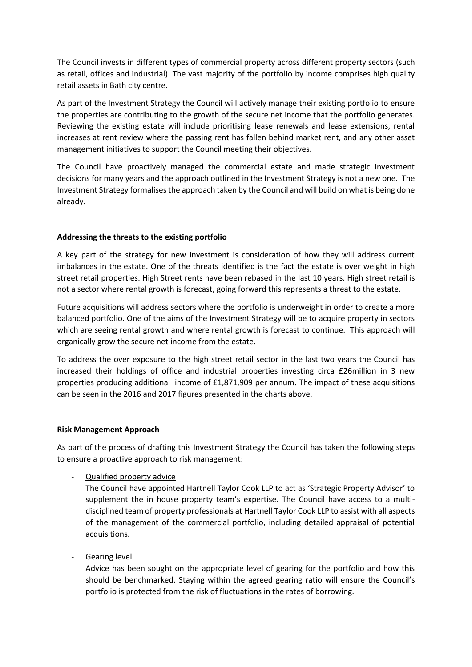The Council invests in different types of commercial property across different property sectors (such as retail, offices and industrial). The vast majority of the portfolio by income comprises high quality retail assets in Bath city centre.

As part of the Investment Strategy the Council will actively manage their existing portfolio to ensure the properties are contributing to the growth of the secure net income that the portfolio generates. Reviewing the existing estate will include prioritising lease renewals and lease extensions, rental increases at rent review where the passing rent has fallen behind market rent, and any other asset management initiatives to support the Council meeting their objectives.

The Council have proactively managed the commercial estate and made strategic investment decisions for many years and the approach outlined in the Investment Strategy is not a new one. The Investment Strategy formalises the approach taken by the Council and will build on what is being done already.

#### **Addressing the threats to the existing portfolio**

A key part of the strategy for new investment is consideration of how they will address current imbalances in the estate. One of the threats identified is the fact the estate is over weight in high street retail properties. High Street rents have been rebased in the last 10 years. High street retail is not a sector where rental growth is forecast, going forward this represents a threat to the estate.

Future acquisitions will address sectors where the portfolio is underweight in order to create a more balanced portfolio. One of the aims of the Investment Strategy will be to acquire property in sectors which are seeing rental growth and where rental growth is forecast to continue. This approach will organically grow the secure net income from the estate.

To address the over exposure to the high street retail sector in the last two years the Council has increased their holdings of office and industrial properties investing circa £26million in 3 new properties producing additional income of £1,871,909 per annum. The impact of these acquisitions can be seen in the 2016 and 2017 figures presented in the charts above.

#### **Risk Management Approach**

As part of the process of drafting this Investment Strategy the Council has taken the following steps to ensure a proactive approach to risk management:

- Qualified property advice

The Council have appointed Hartnell Taylor Cook LLP to act as 'Strategic Property Advisor' to supplement the in house property team's expertise. The Council have access to a multidisciplined team of property professionals at Hartnell Taylor Cook LLP to assist with all aspects of the management of the commercial portfolio, including detailed appraisal of potential acquisitions.

# Gearing level

Advice has been sought on the appropriate level of gearing for the portfolio and how this should be benchmarked. Staying within the agreed gearing ratio will ensure the Council's portfolio is protected from the risk of fluctuations in the rates of borrowing.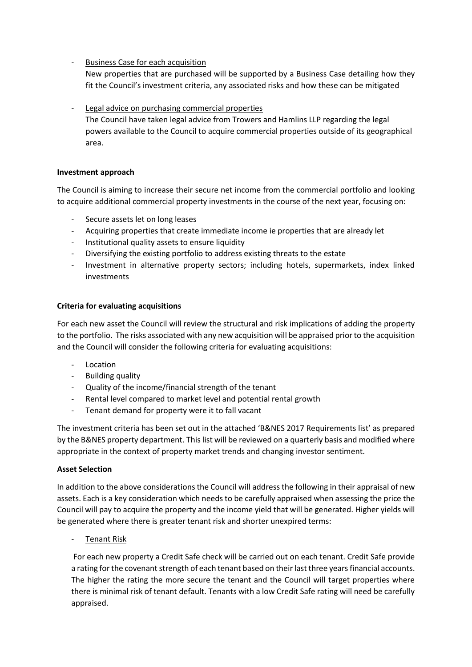- Business Case for each acquisition

New properties that are purchased will be supported by a Business Case detailing how they fit the Council's investment criteria, any associated risks and how these can be mitigated

# Legal advice on purchasing commercial properties

The Council have taken legal advice from Trowers and Hamlins LLP regarding the legal powers available to the Council to acquire commercial properties outside of its geographical area.

#### **Investment approach**

The Council is aiming to increase their secure net income from the commercial portfolio and looking to acquire additional commercial property investments in the course of the next year, focusing on:

- Secure assets let on long leases
- Acquiring properties that create immediate income ie properties that are already let
- Institutional quality assets to ensure liquidity
- Diversifying the existing portfolio to address existing threats to the estate
- Investment in alternative property sectors; including hotels, supermarkets, index linked investments

# **Criteria for evaluating acquisitions**

For each new asset the Council will review the structural and risk implications of adding the property to the portfolio. The risks associated with any new acquisition will be appraised prior to the acquisition and the Council will consider the following criteria for evaluating acquisitions:

- **Location**
- Building quality
- Quality of the income/financial strength of the tenant
- Rental level compared to market level and potential rental growth
- Tenant demand for property were it to fall vacant

The investment criteria has been set out in the attached 'B&NES 2017 Requirements list' as prepared by the B&NES property department. This list will be reviewed on a quarterly basis and modified where appropriate in the context of property market trends and changing investor sentiment.

# **Asset Selection**

In addition to the above considerations the Council will address the following in their appraisal of new assets. Each is a key consideration which needs to be carefully appraised when assessing the price the Council will pay to acquire the property and the income yield that will be generated. Higher yields will be generated where there is greater tenant risk and shorter unexpired terms:

Tenant Risk

For each new property a Credit Safe check will be carried out on each tenant. Credit Safe provide a rating for the covenant strength of each tenant based on their last three years financial accounts. The higher the rating the more secure the tenant and the Council will target properties where there is minimal risk of tenant default. Tenants with a low Credit Safe rating will need be carefully appraised.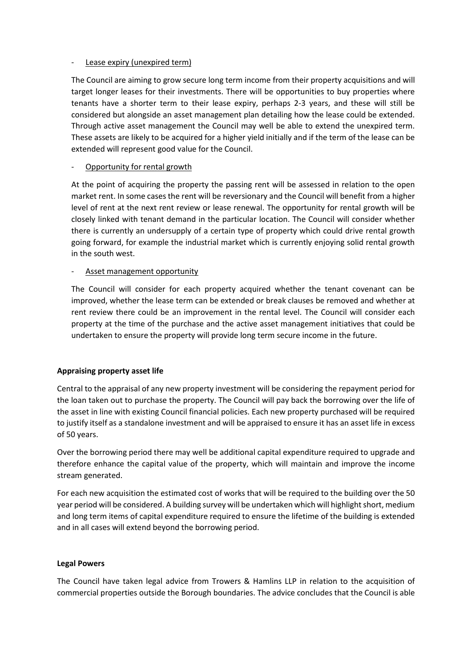#### Lease expiry (unexpired term)

The Council are aiming to grow secure long term income from their property acquisitions and will target longer leases for their investments. There will be opportunities to buy properties where tenants have a shorter term to their lease expiry, perhaps 2-3 years, and these will still be considered but alongside an asset management plan detailing how the lease could be extended. Through active asset management the Council may well be able to extend the unexpired term. These assets are likely to be acquired for a higher yield initially and if the term of the lease can be extended will represent good value for the Council.

# Opportunity for rental growth

At the point of acquiring the property the passing rent will be assessed in relation to the open market rent. In some cases the rent will be reversionary and the Council will benefit from a higher level of rent at the next rent review or lease renewal. The opportunity for rental growth will be closely linked with tenant demand in the particular location. The Council will consider whether there is currently an undersupply of a certain type of property which could drive rental growth going forward, for example the industrial market which is currently enjoying solid rental growth in the south west.

#### Asset management opportunity

The Council will consider for each property acquired whether the tenant covenant can be improved, whether the lease term can be extended or break clauses be removed and whether at rent review there could be an improvement in the rental level. The Council will consider each property at the time of the purchase and the active asset management initiatives that could be undertaken to ensure the property will provide long term secure income in the future.

# **Appraising property asset life**

Central to the appraisal of any new property investment will be considering the repayment period for the loan taken out to purchase the property. The Council will pay back the borrowing over the life of the asset in line with existing Council financial policies. Each new property purchased will be required to justify itself as a standalone investment and will be appraised to ensure it has an asset life in excess of 50 years.

Over the borrowing period there may well be additional capital expenditure required to upgrade and therefore enhance the capital value of the property, which will maintain and improve the income stream generated.

For each new acquisition the estimated cost of works that will be required to the building over the 50 year period will be considered. A building survey will be undertaken which will highlight short, medium and long term items of capital expenditure required to ensure the lifetime of the building is extended and in all cases will extend beyond the borrowing period.

# **Legal Powers**

The Council have taken legal advice from Trowers & Hamlins LLP in relation to the acquisition of commercial properties outside the Borough boundaries. The advice concludes that the Council is able